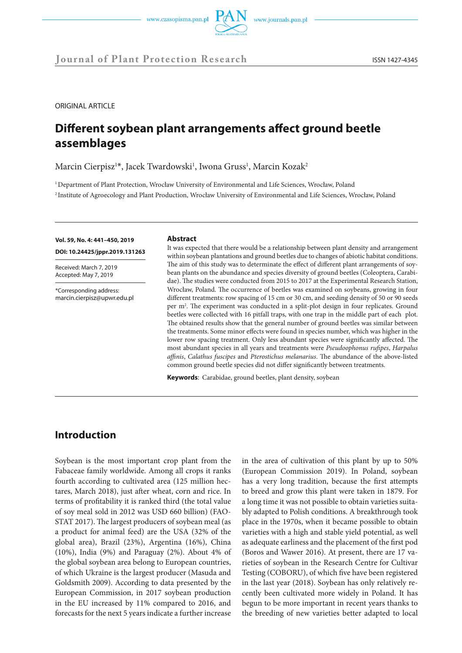



ORIGINAL ARTICLE

# **Different soybean plant arrangements affect ground beetle assemblages**

Marcin Cierpisz<sup>1\*</sup>, Jacek Twardowski<sup>1</sup>, Iwona Gruss<sup>1</sup>, Marcin Kozak<sup>2</sup>

1 Department of Plant Protection, Wrocław University of Environmental and Life Sciences, Wrocław, Poland 2 Institute of Agroecology and Plant Production, Wrocław University of Environmental and Life Sciences, Wrocław, Poland

**Vol. 59, No. 4: 441–450, 2019** 

**DOI: 10.24425/jppr.2019.131263**

Received: March 7, 2019 Accepted: May 7, 2019

\*Corresponding address: marcin.cierpisz@upwr.edu.pl

#### **Abstract**

It was expected that there would be a relationship between plant density and arrangement within soybean plantations and ground beetles due to changes of abiotic habitat conditions. The aim of this study was to determinate the effect of different plant arrangements of soybean plants on the abundance and species diversity of ground beetles (Coleoptera, Carabidae). The studies were conducted from 2015 to 2017 at the Experimental Research Station, Wrocław, Poland. The occurrence of beetles was examined on soybeans, growing in four different treatments: row spacing of 15 cm or 30 cm, and seeding density of 50 or 90 seeds per m2 . The experiment was conducted in a split-plot design in four replicates. Ground beetles were collected with 16 pitfall traps, with one trap in the middle part of each plot. The obtained results show that the general number of ground beetles was similar between the treatments. Some minor effects were found in species number, which was higher in the lower row spacing treatment. Only less abundant species were significantly affected. The most abundant species in all years and treatments were *Pseudoophonus rufipes*, *Harpalus affinis*, *Calathus fuscipes* and *Pterostichus melanarius*. The abundance of the above-listed common ground beetle species did not differ significantly between treatments.

**Keywords**: Carabidae, ground beetles, plant density, soybean

## **Introduction**

Soybean is the most important crop plant from the Fabaceae family worldwide. Among all crops it ranks fourth according to cultivated area (125 million hectares, March 2018), just after wheat, corn and rice. In terms of profitability it is ranked third (the total value of soy meal sold in 2012 was USD 660 billion) (FAO-STAT 2017). The largest producers of soybean meal (as a product for animal feed) are the USA (32% of the global area), Brazil (23%), Argentina (16%), China (10%), India (9%) and Paraguay (2%). About 4% of the global soybean area belong to European countries, of which Ukraine is the largest producer (Masuda and Goldsmith 2009). According to data presented by the European Commission, in 2017 soybean production in the EU increased by 11% compared to 2016, and forecasts for the next 5 years indicate a further increase

in the area of cultivation of this plant by up to 50% (European Commission 2019). In Poland, soybean has a very long tradition, because the first attempts to breed and grow this plant were taken in 1879. For a long time it was not possible to obtain varieties suitably adapted to Polish conditions. A breakthrough took place in the 1970s, when it became possible to obtain varieties with a high and stable yield potential, as well as adequate earliness and the placement of the first pod (Boros and Wawer 2016). At present, there are 17 varieties of soybean in the Research Centre for Cultivar Testing (COBORU), of which five have been registered in the last year (2018). Soybean has only relatively recently been cultivated more widely in Poland. It has begun to be more important in recent years thanks to the breeding of new varieties better adapted to local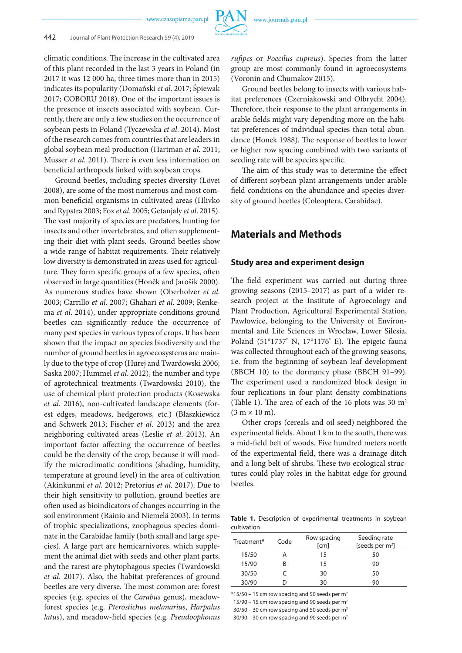climatic conditions. The increase in the cultivated area of this plant recorded in the last 3 years in Poland (in 2017 it was 12 000 ha, three times more than in 2015) indicates its popularity (Domański *et al*. 2017; Śpiewak 2017; COBORU 2018). One of the important issues is the presence of insects associated with soybean. Currently, there are only a few studies on the occurrence of soybean pests in Poland (Tyczewska *et al*. 2014). Most of the research comes from countries that are leaders in global soybean meal production (Hartman *et al*. 2011; Musser *et al*. 2011). There is even less information on beneficial arthropods linked with soybean crops.

Ground beetles, including species diversity (Lövei 2008), are some of the most numerous and most common beneficial organisms in cultivated areas (Hlivko and Rypstra 2003; Fox *et al*. 2005; Getanjaly *et al*. 2015). The vast majority of species are predators, hunting for insects and other invertebrates, and often supplementing their diet with plant seeds. Ground beetles show a wide range of habitat requirements. Their relatively low diversity is demonstrated in areas used for agriculture. They form specific groups of a few species, often observed in large quantities (Honêk and Jarošik 2000). As numerous studies have shown (Oberholzer *et al*. 2003; Carrillo *et al*. 2007; Ghahari *et al*. 2009; Renkema *et al*. 2014), under appropriate conditions ground beetles can significantly reduce the occurrence of many pest species in various types of crops. It has been shown that the impact on species biodiversity and the number of ground beetles in agroecosystems are mainly due to the type of crop (Hurej and Twardowski 2006; Saska 2007; Hummel *et al*. 2012), the number and type of agrotechnical treatments (Twardowski 2010), the use of chemical plant protection products (Kosewska *et al*. 2016), non-cultivated landscape elements (forest edges, meadows, hedgerows, etc.) (Błaszkiewicz and Schwerk 2013; Fischer *et al*. 2013) and the area neighboring cultivated areas (Leslie *et al*. 2013). An important factor affecting the occurrence of beetles could be the density of the crop, because it will modify the microclimatic conditions (shading, humidity, temperature at ground level) in the area of cultivation (Akinkunmi *et al*. 2012; Pretorius *et al*. 2017). Due to their high sensitivity to pollution, ground beetles are often used as bioindicators of changes occurring in the soil environment (Rainio and Niemelä 2003). In terms of trophic specializations, zoophagous species dominate in the Carabidae family (both small and large species). A large part are hemicarnivores, which supplement the animal diet with seeds and other plant parts, and the rarest are phytophagous species (Twardowski *et al*. 2017). Also, the habitat preferences of ground beetles are very diverse. The most common are: forest species (e.g. species of the *Carabus* genus), meadowforest species (e.g. *Pterostichus melanarius*, *Harpalus latus*), and meadow-field species (e.g. *Pseudoophonus*  *rufipes* or *Poecilus cupreus*). Species from the latter group are most commonly found in agroecosystems (Voronin and Chumakov 2015).

Ground beetles belong to insects with various habitat preferences (Czerniakowski and Olbrycht 2004). Therefore, their response to the plant arrangements in arable fields might vary depending more on the habitat preferences of individual species than total abundance (Honek 1988). The response of beetles to lower or higher row spacing combined with two variants of seeding rate will be species specific.

The aim of this study was to determine the effect of different soybean plant arrangements under arable field conditions on the abundance and species diversity of ground beetles (Coleoptera, Carabidae).

## **Materials and Methods**

### **Study area and experiment design**

The field experiment was carried out during three growing seasons (2015–2017) as part of a wider research project at the Institute of Agroecology and Plant Production, Agricultural Experimental Station, Pawłowice, belonging to the University of Environmental and Life Sciences in Wrocław, Lower Silesia, Poland (51°1737' N, 17°1176' E). The epigeic fauna was collected throughout each of the growing seasons, i.e. from the beginning of soybean leaf development (BBCH 10) to the dormancy phase (BBCH 91–99). The experiment used a randomized block design in four replications in four plant density combinations (Table 1). The area of each of the 16 plots was 30  $m<sup>2</sup>$  $(3 m \times 10 m)$ .

Other crops (cereals and oil seed) neighbored the experimental fields. About 1 km to the south, there was a mid-field belt of woods. Five hundred meters north of the experimental field, there was a drainage ditch and a long belt of shrubs. These two ecological structures could play roles in the habitat edge for ground beetles.

**Table 1.** Description of experimental treatments in soybean cultivation

| Treatment* | Code | Row spacing<br>[cm] | Seeding rate<br>[seeds per $m^2$ ] |
|------------|------|---------------------|------------------------------------|
| 15/50      |      | 15                  | 50                                 |
| 15/90      | R    | 15                  | 90                                 |
| 30/50      |      | 30                  | 50                                 |
| 30/90      |      | 30                  | 90                                 |

 $*15/50 - 15$  cm row spacing and 50 seeds per m<sup>2</sup>

15/90 – 15 cm row spacing and 90 seeds per  $m<sup>2</sup>$ 

 $30/50 - 30$  cm row spacing and 50 seeds per m<sup>2</sup>

30/90 – 30 cm row spacing and 90 seeds per  $m<sup>2</sup>$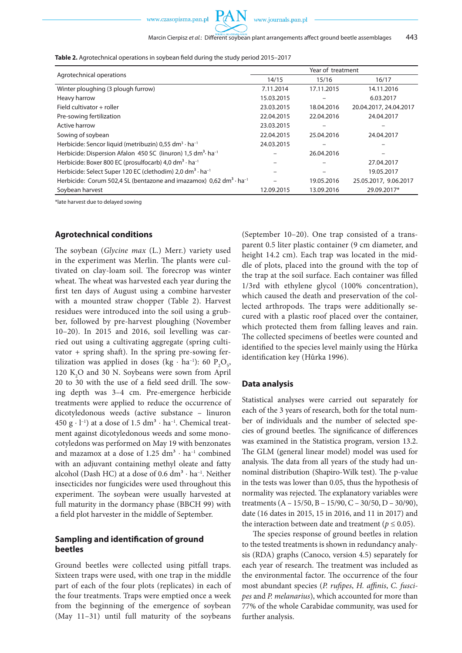

**Table 2.** Agrotechnical operations in soybean field during the study period 2015–2017

| Agrotechnical operations                                                                           | Year of treatment |            |                        |  |  |
|----------------------------------------------------------------------------------------------------|-------------------|------------|------------------------|--|--|
|                                                                                                    | 14/15             | 15/16      | 16/17                  |  |  |
| Winter ploughing (3 plough furrow)                                                                 | 7.11.2014         | 17.11.2015 | 14.11.2016             |  |  |
| Heavy harrow                                                                                       | 15.03.2015        |            | 6.03.2017              |  |  |
| Field cultivator + roller                                                                          | 23.03.2015        | 18.04.2016 | 20.04.2017, 24.04.2017 |  |  |
| Pre-sowing fertilization                                                                           | 22.04.2015        | 22.04.2016 | 24.04.2017             |  |  |
| Active harrow                                                                                      | 23.03.2015        |            |                        |  |  |
| Sowing of soybean                                                                                  | 22.04.2015        | 25.04.2016 | 24.04.2017             |  |  |
| Herbicide: Sencor liquid (metribuzin) 0,55 dm <sup>3</sup> · ha <sup>-1</sup>                      | 24.03.2015        |            |                        |  |  |
| Herbicide: Dispersion Afalon 450 SC (linuron) 1,5 dm <sup>3</sup> · ha <sup>-1</sup>               |                   | 26.04.2016 |                        |  |  |
| Herbicide: Boxer 800 EC (prosulfocarb) 4,0 dm <sup>3</sup> $\cdot$ ha <sup>-1</sup>                |                   |            | 27.04.2017             |  |  |
| Herbicide: Select Super 120 EC (clethodim) 2,0 dm <sup>3</sup> · ha <sup>-1</sup>                  |                   |            | 19.05.2017             |  |  |
| Herbicide: Corum 502,4 SL (bentazone and imazamox) $0.62$ dm <sup>3</sup> $\cdot$ ha <sup>-1</sup> |                   | 19.05.2016 | 25.05.2017, 9.06.2017  |  |  |
| Soybean harvest                                                                                    | 12.09.2015        | 13.09.2016 | 29.09.2017*            |  |  |

\*late harvest due to delayed sowing

### **Agrotechnical conditions**

The soybean (*Glycine max* (L.) Merr.) variety used in the experiment was Merlin. The plants were cultivated on clay-loam soil. The forecrop was winter wheat. The wheat was harvested each year during the first ten days of August using a combine harvester with a mounted straw chopper (Table 2). Harvest residues were introduced into the soil using a grubber, followed by pre-harvest ploughing (November 10–20). In 2015 and 2016, soil levelling was carried out using a cultivating aggregate (spring cultivator  $+$  spring shaft). In the spring pre-sowing fertilization was applied in doses (kg · ha<sup>-1</sup>): 60 P<sub>2</sub>O<sub>5</sub>, 120  $K_2$ O and 30 N. Soybeans were sown from April 20 to 30 with the use of a field seed drill. The sowing depth was 3–4 cm. Pre-emergence herbicide treatments were applied to reduce the occurrence of dicotyledonous weeds (active substance – linuron 450 g  $\cdot$  l<sup>-1</sup>) at a dose of 1.5 dm<sup>3</sup>  $\cdot$  ha<sup>-1</sup>. Chemical treatment against dicotyledonous weeds and some monocotyledons was performed on May 19 with benzonates and mazamox at a dose of  $1.25 \text{ dm}^3 \cdot \text{ha}^{-1}$  combined with an adjuvant containing methyl oleate and fatty alcohol (Dash HC) at a dose of  $0.6$  dm<sup>3</sup> ⋅ ha<sup>-1</sup>. Neither insecticides nor fungicides were used throughout this experiment. The soybean were usually harvested at full maturity in the dormancy phase (BBCH 99) with a field plot harvester in the middle of September.

### **Sampling and identification of ground beetles**

Ground beetles were collected using pitfall traps. Sixteen traps were used, with one trap in the middle part of each of the four plots (replicates) in each of the four treatments. Traps were emptied once a week from the beginning of the emergence of soybean (May 11–31) until full maturity of the soybeans (September 10–20). One trap consisted of a transparent 0.5 liter plastic container (9 cm diameter, and height 14.2 cm). Each trap was located in the middle of plots, placed into the ground with the top of the trap at the soil surface. Each container was filled 1/3rd with ethylene glycol (100% concentration), which caused the death and preservation of the collected arthropods. The traps were additionally secured with a plastic roof placed over the container, which protected them from falling leaves and rain. The collected specimens of beetles were counted and identified to the species level mainly using the Hůrka identification key (Hůrka 1996).

#### **Data analysis**

Statistical analyses were carried out separately for each of the 3 years of research, both for the total number of individuals and the number of selected species of ground beetles. The significance of differences was examined in the Statistica program, version 13.2. The GLM (general linear model) model was used for analysis. The data from all years of the study had unnominal distribution (Shapiro-Wilk test). The p-value in the tests was lower than 0.05, thus the hypothesis of normality was rejected. The explanatory variables were treatments (A – 15/50, B – 15/90, C – 30/50, D – 30/90), date (16 dates in 2015, 15 in 2016, and 11 in 2017) and the interaction between date and treatment ( $p \leq 0.05$ ).

The species response of ground beetles in relation to the tested treatments is shown in redundancy analysis (RDA) graphs (Canoco, version 4.5) separately for each year of research. The treatment was included as the environmental factor. The occurrence of the four most abundant species (*P. rufipes*, *H. affinis*, *C. fuscipes* and *P. melanarius*), which accounted for more than 77% of the whole Carabidae community, was used for further analysis.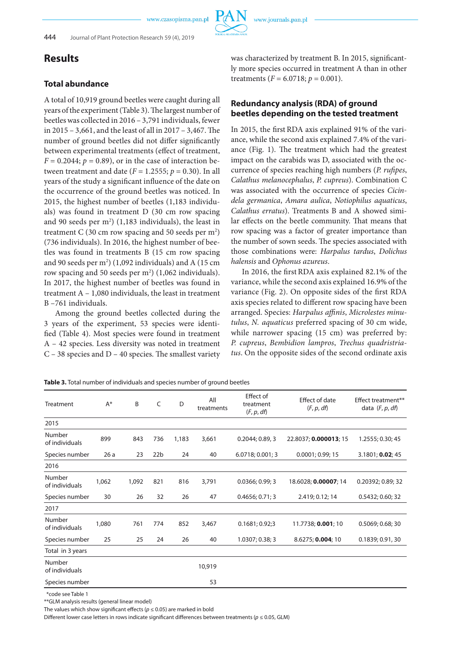## **Results**

### **Total abundance**

A total of 10,919 ground beetles were caught during all years of the experiment (Table 3). The largest number of beetles was collected in 2016 – 3,791 individuals, fewer in 2015 – 3,661, and the least of all in 2017 – 3,467. The number of ground beetles did not differ significantly between experimental treatments (effect of treatment,  $F = 0.2044$ ;  $p = 0.89$ ), or in the case of interaction between treatment and date  $(F = 1.2555; p = 0.30)$ . In all years of the study a significant influence of the date on the occurrence of the ground beetles was noticed. In 2015, the highest number of beetles (1,183 individuals) was found in treatment D (30 cm row spacing and 90 seeds per m<sup>2</sup>) (1,183 individuals), the least in treatment C (30 cm row spacing and 50 seeds per  $\mathrm{m}^{2}\mathrm{)}$ (736 individuals). In 2016, the highest number of beetles was found in treatments B (15 cm row spacing and 90 seeds per  $m^2$ ) (1,092 individuals) and A (15 cm row spacing and 50 seeds per  $m<sup>2</sup>$ ) (1,062 individuals). In 2017, the highest number of beetles was found in treatment A – 1,080 individuals, the least in treatment B –761 individuals.

Among the ground beetles collected during the 3 years of the experiment, 53 species were identified (Table 4). Most species were found in treatment A – 42 species. Less diversity was noted in treatment C – 38 species and D – 40 species. The smallest variety was characterized by treatment B. In 2015, significantly more species occurred in treatment A than in other treatments ( $F = 6.0718$ ;  $p = 0.001$ ).

## **Redundancy analysis (RDA) of ground beetles depending on the tested treatment**

In 2015, the first RDA axis explained 91% of the variance, while the second axis explained 7.4% of the variance (Fig. 1). The treatment which had the greatest impact on the carabids was D, associated with the occurrence of species reaching high numbers (*P. rufipes*, *Calathus melanocephalus*, *P. cupreus*). Combination C was associated with the occurrence of species *Cicindela germanica*, *Amara aulica*, *Notiophilus aquaticus*, *Calathus erratus*). Treatments B and A showed similar effects on the beetle community. That means that row spacing was a factor of greater importance than the number of sown seeds. The species associated with those combinations were: *Harpalus tardus*, *Dolichus halensis* and *Ophonus azureus*.

In 2016, the firstRDA axis explained 82.1% of the variance, while the second axis explained 16.9% of the variance (Fig. 2). On opposite sides of the first RDA axis species related to different row spacing have been arranged. Species: *Harpalus affinis*, *Microlestes minutulus*, *N. aquaticus* preferred spacing of 30 cm wide, while narrower spacing (15 cm) was preferred by: *P. cupreus*, *Bembidion lampros*, *Trechus quadristriatus*. On the opposite sides of the second ordinate axis

| Table 3. Total number of individuals and species number of ground beetles |
|---------------------------------------------------------------------------|
|---------------------------------------------------------------------------|

| Treatment                | $A^*$ | B     | C               | D     | All<br>treatments | Effect of<br>treatment<br>(F, p, df) | <b>Effect of date</b><br>(F, p, df) | Effect treatment**<br>data $(F, p, df)$ |
|--------------------------|-------|-------|-----------------|-------|-------------------|--------------------------------------|-------------------------------------|-----------------------------------------|
| 2015                     |       |       |                 |       |                   |                                      |                                     |                                         |
| Number<br>of individuals | 899   | 843   | 736             | 1,183 | 3,661             | 0.2044; 0.89, 3                      | 22.8037; 0.000013; 15               | 1.2555; 0.30; 45                        |
| Species number           | 26a   | 23    | 22 <sub>b</sub> | 24    | 40                | 6.0718; 0.001; 3                     | 0.0001; 0.99; 15                    | 3.1801; 0.02; 45                        |
| 2016                     |       |       |                 |       |                   |                                      |                                     |                                         |
| Number<br>of individuals | 1,062 | 1,092 | 821             | 816   | 3,791             | 0.0366; 0.99; 3                      | 18.6028; 0.00007; 14                | 0.20392; 0.89; 32                       |
| Species number           | 30    | 26    | 32              | 26    | 47                | 0.4656; 0.71; 3                      | 2.419; 0.12; 14                     | 0.5432; 0.60; 32                        |
| 2017                     |       |       |                 |       |                   |                                      |                                     |                                         |
| Number<br>of individuals | 1,080 | 761   | 774             | 852   | 3,467             | 0.1681; 0.92; 3                      | 11.7738; 0.001; 10                  | 0.5069; 0.68; 30                        |
| Species number           | 25    | 25    | 24              | 26    | 40                | 1.0307; 0.38; 3                      | 8.6275; 0.004; 10                   | 0.1839; 0.91, 30                        |
| Total in 3 years         |       |       |                 |       |                   |                                      |                                     |                                         |
| Number<br>of individuals |       |       |                 |       | 10,919            |                                      |                                     |                                         |
| Species number           |       |       |                 |       | 53                |                                      |                                     |                                         |

\*code see Table 1

\*\*GLM analysis results (general linear model)

The values which show significant effects ( $p \le 0.05$ ) are marked in bold

Different lower case letters in rows indicate significant differences between treatments (*p* ≤ 0.05, GLM)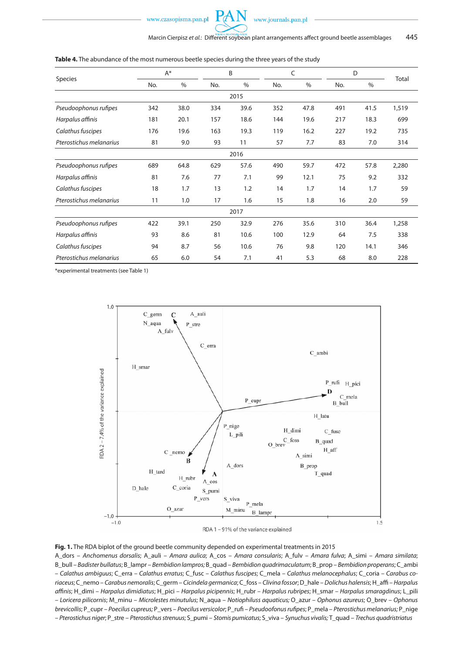

| Species                 | $A^*$ |      | B   |      | C   |      | D   |      |       |  |
|-------------------------|-------|------|-----|------|-----|------|-----|------|-------|--|
|                         | No.   | $\%$ | No. | $\%$ | No. | $\%$ | No. | $\%$ | Total |  |
| 2015                    |       |      |     |      |     |      |     |      |       |  |
| Pseudoophonus rufipes   | 342   | 38.0 | 334 | 39.6 | 352 | 47.8 | 491 | 41.5 | 1,519 |  |
| Harpalus affinis        | 181   | 20.1 | 157 | 18.6 | 144 | 19.6 | 217 | 18.3 | 699   |  |
| Calathus fuscipes       | 176   | 19.6 | 163 | 19.3 | 119 | 16.2 | 227 | 19.2 | 735   |  |
| Pterostichus melanarius | 81    | 9.0  | 93  | 11   | 57  | 7.7  | 83  | 7.0  | 314   |  |
| 2016                    |       |      |     |      |     |      |     |      |       |  |
| Pseudoophonus rufipes   | 689   | 64.8 | 629 | 57.6 | 490 | 59.7 | 472 | 57.8 | 2,280 |  |
| Harpalus affinis        | 81    | 7.6  | 77  | 7.1  | 99  | 12.1 | 75  | 9.2  | 332   |  |
| Calathus fuscipes       | 18    | 1.7  | 13  | 1.2  | 14  | 1.7  | 14  | 1.7  | 59    |  |
| Pterostichus melanarius | 11    | 1.0  | 17  | 1.6  | 15  | 1.8  | 16  | 2.0  | 59    |  |
| 2017                    |       |      |     |      |     |      |     |      |       |  |
| Pseudoophonus rufipes   | 422   | 39.1 | 250 | 32.9 | 276 | 35.6 | 310 | 36.4 | 1,258 |  |
| Harpalus affinis        | 93    | 8.6  | 81  | 10.6 | 100 | 12.9 | 64  | 7.5  | 338   |  |
| Calathus fuscipes       | 94    | 8.7  | 56  | 10.6 | 76  | 9.8  | 120 | 14.1 | 346   |  |
| Pterostichus melanarius | 65    | 6.0  | 54  | 7.1  | 41  | 5.3  | 68  | 8.0  | 228   |  |

#### **Table 4.** The abundance of the most numerous beetle species during the three years of the study

\*experimental treatments (see Table 1)



#### RDA 1 - 91% of the variance explained

**Fig. 1.** The RDA biplot of the ground beetle community depended on experimental treatments in 2015

A\_dors – *Anchomenus dorsalis*; A\_auli – *Amara aulica*; A\_cos – *Amara consularis*; A\_fulv – *Amara fulva*; A\_simi – *Amara similata*; B\_bull – *Badister bullatus*; B\_lampr – *Bembidion lampros;* B\_quad – *Bembidion quadrimaculatum*; B\_prop – *Bembidion properans*; C\_ambi – *Calathus ambiguus*; C\_erra – *Calathus erratus*; C\_fusc – *Calathus fuscipes*; C\_mela – *Calathus melanocephalus*; C\_coria – *Carabus coriaceus*; C\_nemo – *Carabus nemoralis*; C\_germ – *Cicindela germanica*; C\_foss – *Clivina fossor*; D\_hale – *Dolichus halensis*; H\_affi – *Harpalus affinis*; H\_dimi – *Harpalus dimidiatus*; H\_pici – *Harpalus picipennis*; H\_rubr – *Harpalus rubripes*; H\_smar – *Harpalus smaragdinus*; L\_pili – *Loricera pilicornis*; M\_minu – *Microlestes minutulus*; N\_aqua – *Notiophiluss aquaticus;* O\_azur – *Ophonus azureus*; O\_brev – *Ophonus brevicollis*; P\_cupr – *Poecilus cupreus;* P\_vers – *Poecilus versicolor*; P\_rufi – *Pseudoofonus rufipes*; P\_mela – *Pterostichus melanarius;* P\_nige – *Pterostichus niger*; P\_stre – *Pterostichus strenuus*; S\_pumi – *Stomis pumicatus*; S\_viva – *Synuchus vivalis;* T\_quad – *Trechus quadristriatus*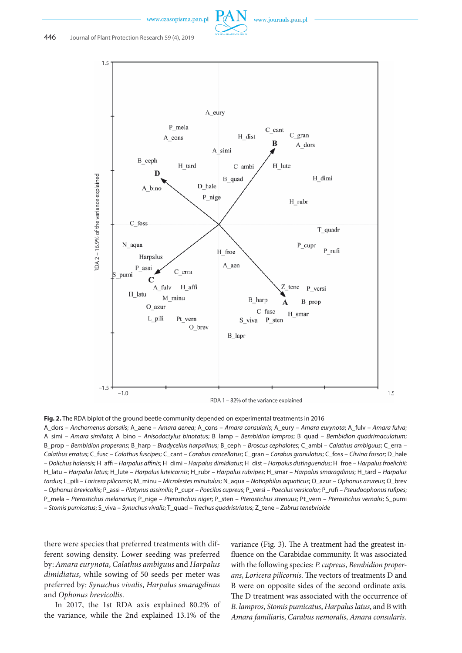



**Fig. 2.** The RDA biplot of the ground beetle community depended on experimental treatments in 2016 A\_dors – *Anchomenus dorsalis*; A\_aene – *Amara aenea*; A\_cons – *Amara consularis*; A\_eury – *Amara eurynota*; A\_fulv – *Amara fulva*; A\_simi – *Amara similata*; A\_bino – *Anisodactylus binotatus*; B\_lamp – *Bembidion lampros*; B\_quad – *Bembidion quadrimaculatum*; B\_prop – *Bembidion properans*; B\_harp – *Bradycellus harpalinus*; B\_ceph – *Broscus cephalotes*; C\_ambi – *Calathus ambiguus*; C\_erra –

*Calathus erratus*; C\_fusc – *Calathus fuscipes*; C\_cant – *Carabus cancellatus*; C\_gran – *Carabus granulatus*; C\_foss – *Clivina fossor*; D\_hale – *Dolichus halensis*; H\_affi – *Harpalus affinis*; H\_dimi – *Harpalus dimidiatus*; H\_dist – *Harpalus distinguendus*; H\_froe – *Harpalus froelichii*; H\_latu – *Harpalus latus*; H\_lute – *Harpalus luteicornis*; H\_rubr – *Harpalus rubripes*; H\_smar – *Harpalus smaragdinus*; H\_tard – *Harpalus tardus*; L\_pili – *Loricera pilicornis*; M\_minu – *Microlestes minutulus*; N\_aqua – *Notiophilus aquaticus*; O\_azur – *Ophonus azureus*; O\_brev – *Ophonus brevicollis*; P\_assi – *Platynus assimilis*; P\_cupr – *Poecilus cupreus*; P\_versi – *Poecilus versicolor*; P\_rufi – *Pseudoophonus rufipes*; P\_mela – *Pterostichus melanarius*; P\_nige – *Pterostichus niger*; P\_sten – *Pterostichus strenuus*; Pt\_vern – *Pterostichus vernalis*; S\_pumi – *Stomis pumicatus*; S\_viva – *Synuchus vivalis*; T\_quad – *Trechus quadristriatus*; Z\_tene – *Zabrus tenebrioide*

there were species that preferred treatments with different sowing density. Lower seeding was preferred by: *Amara eurynota*, *Calathus ambiguus* and *Harpalus dimidiatus*, while sowing of 50 seeds per meter was preferred by: *Synuchus vivalis*, *Harpalus smaragdinus* and *Ophonus brevicollis*.

In 2017, the 1st RDA axis explained 80.2% of the variance, while the 2nd explained 13.1% of the

variance (Fig. 3). The A treatment had the greatest influence on the Carabidae community. It was associated with the following species: *P. cupreus*, *Bembidion properans*, *Loricera pilicornis*. The vectors of treatments D and B were on opposite sides of the second ordinate axis. The D treatment was associated with the occurrence of *B. lampros*, *Stomis pumicatus*, *Harpalus latus*, and B with *Amara familiaris*, *Carabus nemoralis*, *Amara consularis*.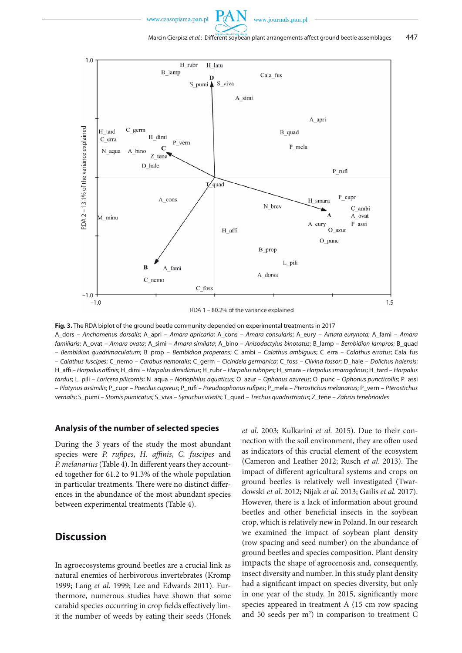

**Fig. 3.** The RDA biplot of the ground beetle community depended on experimental treatments in 2017 A\_dors – *Anchomenus dorsalis*; A\_apri – *Amara apricaria*; A\_cons – *Amara consularis*; A\_eury – *Amara eurynota*; A\_fami – *Amara familiaris*; A\_ovat – *Amara ovata*; A\_simi – *Amara similata*; A\_bino – *Anisodactylus binotatus*; B\_lamp – *Bembidion lampros*; B\_quad – *Bembidion quadrimaculatum*; B\_prop – *Bembidion properans*; C\_ambi – *Calathus ambiguus*; C\_erra – *Calathus erratus*; Cala\_fus – *Calathus fuscipes*; C\_nemo – *Carabus nemoralis*; C\_germ – *Cicindela germanica*; C\_foss – *Clivina fossor*; D\_hale – *Dolichus halensis*;

H\_affi – *Harpalus affinis*; H\_dimi – *Harpalus dimidiatus*; H\_rubr – *Harpalus rubripes*; H\_smara – *Harpalus smaragdinus*; H\_tard – *Harpalus tardus*; L\_pili – *Loricera pilicornis*; N\_aqua – *Notiophilus aquaticus*; O\_azur – *Ophonus azureus*; O\_punc – *Ophonus puncticollis*; P\_assi – *Platynus assimilis*; P\_cupr – *Poecilus cupreus*; P\_rufi – *Pseudoophonus rufipes*; P\_mela – *Pterostichus melanarius*; P\_vern – *Pterostichus vernalis*; S\_pumi – *Stomis pumicatus*; S\_viva – *Synuchus vivalis*; T\_quad – *Trechus quadristriatus*; Z\_tene – *Zabrus tenebrioides*

### **Analysis of the number of selected species**

During the 3 years of the study the most abundant species were *P. rufipes*, *H. affinis*, *C. fuscipes* and *P. melanarius* (Table 4). In different years they accounted together for 61.2 to 91.3% of the whole population in particular treatments*.* There were no distinct differences in the abundance of the most abundant species between experimental treatments (Table 4).

## **Discussion**

In agroecosystems ground beetles are a crucial link as natural enemies of herbivorous invertebrates (Kromp 1999; Lang *et al*. 1999; Lee and Edwards 2011). Furthermore, numerous studies have shown that some carabid species occurring in crop fields effectively limit the number of weeds by eating their seeds (Honek *et al*. 2003; Kulkarini *et al*. 2015). Due to their connection with the soil environment, they are often used as indicators of this crucial element of the ecosystem (Cameron and Leather 2012; Rusch *et al*. 2013). The impact of different agricultural systems and crops on ground beetles is relatively well investigated (Twardowski *et al*. 2012; Nijak *et al*. 2013; Gailis *et al*. 2017). However, there is a lack of information about ground beetles and other beneficial insects in the soybean crop, which is relatively new in Poland. In our research we examined the impact of soybean plant density (row spacing and seed number) on the abundance of ground beetles and species composition. Plant density impacts the shape of agrocenosis and, consequently, insect diversity and number. In this study plant density had a significant impact on species diversity, but only in one year of the study. In 2015, significantly more species appeared in treatment A (15 cm row spacing and 50 seeds per m<sup>2</sup>) in comparison to treatment C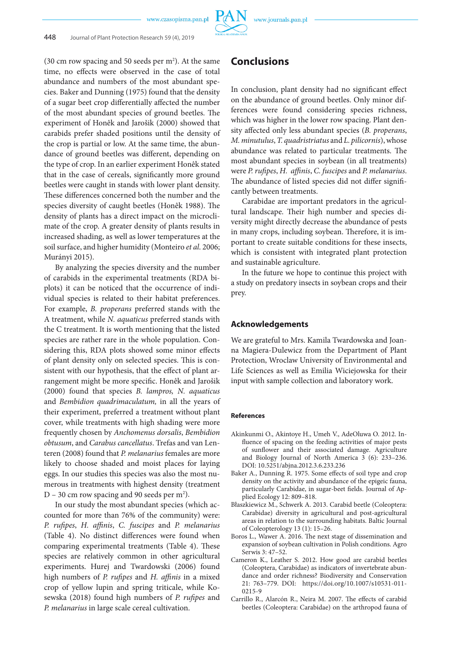(30 cm row spacing and 50 seeds per  $m<sup>2</sup>$ ). At the same time, no effects were observed in the case of total abundance and numbers of the most abundant species. Baker and Dunning (1975) found that the density of a sugar beet crop differentially affected the number of the most abundant species of ground beetles. The experiment of Honêk and Jarošik (2000) showed that carabids prefer shaded positions until the density of the crop is partial or low. At the same time, the abundance of ground beetles was different, depending on the type of crop. In an earlier experiment Honêk stated that in the case of cereals, significantly more ground beetles were caught in stands with lower plant density. These differences concerned both the number and the species diversity of caught beetles (Honêk 1988). The density of plants has a direct impact on the microclimate of the crop. A greater density of plants results in increased shading, as well as lower temperatures at the soil surface, and higher humidity (Monteiro *et al*. 2006; Murányi 2015).

By analyzing the species diversity and the number of carabids in the experimental treatments (RDA biplots) it can be noticed that the occurrence of individual species is related to their habitat preferences. For example, *B. properans* preferred stands with the A treatment, while *N. aquaticus* preferred stands with the C treatment. It is worth mentioning that the listed species are rather rare in the whole population. Considering this, RDA plots showed some minor effects of plant density only on selected species. This is consistent with our hypothesis, that the effect of plant arrangement might be more specific. Honêk and Jarošik (2000) found that species *B. lampros, N. aquaticus*  and *Bembidion quadrimaculatum,* in all the years of their experiment, preferred a treatment without plant cover, while treatments with high shading were more frequently chosen by *Anchomenus dorsalis*, *Bembidion obtusum*, and *Carabus cancellatus*. Trefas and van Lenteren (2008) found that *P. melanarius* females are more likely to choose shaded and moist places for laying eggs. In our studies this species was also the most numerous in treatments with highest density (treatment D – 30 cm row spacing and 90 seeds per  $m^2$ ).

In our study the most abundant species (which accounted for more than 76% of the community) were: *P. rufipes*, *H. affinis*, *C. fuscipes* and *P. melanarius*  (Table 4). No distinct differences were found when comparing experimental treatments (Table 4). These species are relatively common in other agricultural experiments. Hurej and Twardowski (2006) found high numbers of *P. rufipes* and *H. affinis* in a mixed crop of yellow lupin and spring triticale, while Kosewska (2018) found high numbers of *P. rufipes* and *P. melanarius* in large scale cereal cultivation.

## **Conclusions**

In conclusion, plant density had no significant effect on the abundance of ground beetles. Only minor differences were found considering species richness, which was higher in the lower row spacing. Plant density affected only less abundant species (*B. properans*, *M. minutulus*, *T. quadristriatus* and *L. pilicornis*), whose abundance was related to particular treatments. The most abundant species in soybean (in all treatments) were *P. rufipes*, *H. affinis*, *C. fuscipes* and *P. melanarius*. The abundance of listed species did not differ significantly between treatments.

Carabidae are important predators in the agricultural landscape. Their high number and species diversity might directly decrease the abundance of pests in many crops, including soybean. Therefore, it is important to create suitable conditions for these insects, which is consistent with integrated plant protection and sustainable agriculture.

In the future we hope to continue this project with a study on predatory insects in soybean crops and their prey.

#### **Acknowledgements**

We are grateful to Mrs. Kamila Twardowska and Joanna Magiera-Dulewicz from the Department of Plant Protection, Wroclaw University of Environmental and Life Sciences as well as Emilia Wiciejowska for their input with sample collection and laboratory work.

#### **References**

- Akinkunmi O., Akintoye H., Umeh V., AdeOluwa O. 2012. Influence of spacing on the feeding activities of major pests of sunflower and their associated damage. Agriculture and Biology Journal of North America 3 (6): 233–236. DOI: 10.5251/abjna.2012.3.6.233.236
- Baker A., Dunning R. 1975. Some effects of soil type and crop density on the activity and abundance of the epigeic fauna, particularly Carabidae, in sugar-beet fields. Journal of Applied Ecology 12: 809–818.
- Błaszkiewicz M., Schwerk A. 2013. Carabid beetle (Coleoptera: Carabidae) diversity in agricultural and post-agricultural areas in relation to the surrounding habitats. Baltic Journal of Coleopterology 13 (1): 15–26.
- Boros L., Wawer A. 2016. The next stage of dissemination and expansion of soybean cultivation in Polish conditions. Agro Serwis 3: 47–52.
- Cameron K., Leather S. 2012. How good are carabid beetles (Coleoptera, Carabidae) as indicators of invertebrate abundance and order richness? Biodiversity and Conservation 21: 763–779. DOI: https://doi.org/10.1007/s10531-011- 0215-9
- Carrillo R., Alarcón R., Neira M. 2007. The effects of carabid beetles (Coleoptera: Carabidae) on the arthropod fauna of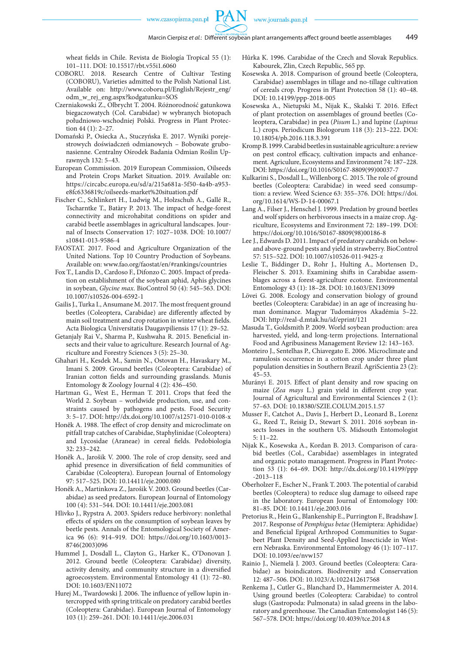wheat fields in Chile. Revista de Biología Tropical 55 (1): 101–111. DOI: 10.15517/rbt.v55i1.6060

- COBORU. 2018. Research Centre of Cultivar Testing (COBORU), Varieties admitted to the Polish National List. Available on: http://www.coboru.pl/English/Rejestr\_eng/ odm\_w\_rej\_eng.aspx?kodgatunku=SOS
- Czerniakowski Z., Olbrycht T. 2004. Różnorodność gatunkowa biegaczowatych (Col. Carabidae) w wybranych biotopach południowo-wschodniej Polski. Progress in Plant Protection 44 (1): 2–27.
- Domański P., Osiecka A., Stuczyńska E. 2017. Wyniki porejestrowych doświadczeń odmianowych – Bobowate grubonasienne. Centralny Ośrodek Badania Odmian Roślin Uprawnych 132: 5–43.
- European Commission. 2019 European Commission, Oilseeds and Protein Crops Market Situation. 2019. Available on: https://circabc.europa.eu/sd/a/215a681a-5f50-4a4b-a953 e8fc6336819c/oilseeds-market%20situation.pdf
- Fischer C., Schlinkert H., Ludwig M., Holzschuh A., Gallé R., Tscharntke T., Batàry P. 2013. The impact of hedge-forest connectivity and microhabitat conditions on spider and carabid beetle assemblages in agricultural landscapes. Journal of Insects Conservation 17: 1027–1038. DOI: 10.1007/ s10841-013-9586-4
- FAOSTAT. 2017. Food and Agriculture Organization of the United Nations. Top 10 Country Production of Soybeans. Available on: www.fao.org/faostat/en/#rankings/countries
- Fox T., Landis D., Cardoso F., Difonzo C. 2005. Impact of predation on establishment of the soybean aphid, Aphis glycines in soybean, *Glycine max*. BioControl 50 (4): 545–563. DOI: 10.1007/s10526-004-6592-1
- Gailis J., Turka I., Ansumane M. 2017. The most frequent ground beetles (Coleoptera, Carabidae) are differently affected by main soil treatment and crop rotation in winter wheat fields. Acta Biologica Universitatis Daugavpiliensis 17 (1): 29–52.
- Getanjaly Rai V., Sharma P., Kushwaha R. 2015. Beneficial insects and their value to agriculture. Research Journal of Agriculture and Forestry Sciences 3 (5): 25–30.
- Ghahari H., Kesdek M., Samin N., Ostovan H., Havaskary M., Imani S. 2009. Ground beetles (Coleoptera: Carabidae) of Iranian cotton fields and surrounding grasslands. Munis Entomology & Zoology Journal 4 (2): 436–450.
- Hartman G., West E., Herman T. 2011. Crops that feed the World 2. Soybean – worldwide production, use, and constraints caused by pathogens and pests. Food Security 3: 5–17. DOI: http://dx.doi.org/10.1007/s12571-010-0108-x
- Honêk A. 1988. The effect of crop density and microclimate on pitfall trap catches of Carabidae, Staphylinidae (Coleoptera) and Lycosidae (Araneae) in cereal fields. Pedobiologia 32: 233–242.
- Honêk A., Jarošik V. 2000. The role of crop density, seed and aphid presence in diversification of field communities of Carabidae (Coleoptera). European Journal of Entomology 97: 517–525. DOI: 10.14411/eje.2000.080
- Honêk A., Martinkova Z., Jarošik V. 2003. Ground beetles (Carabidae) as seed predators. European Journal of Entomology 100 (4): 531–544. DOI: 10.14411/eje.2003.081
- Hlivko J., Rypstra A. 2003. Spiders reduce herbivory: nonlethal effects of spiders on the consumption of soybean leaves by beetle pests. Annals of the Entomological Society of America 96 (6): 914–919. DOI: https://doi.org/10.1603/0013- 8746(2003)096
- Hummel J., Dosdall L., Clayton G., Harker K., O'Donovan J. 2012. Ground beetle (Coleoptera: Carabidae) diversity, activity density, and community structure in a diversified agroecosystem. Environmental Entomology 41 (1): 72–80. DOI: 10.1603/EN11072
- Hurej M., Twardowski J. 2006. The influence of yellow lupin intercropped with spring triticale on predatory carabid beetles (Coleoptera: Carabidae). European Journal of Entomology 103 (1): 259–261. DOI: 10.14411/eje.2006.031
- Hůrka K. 1996. Carabidae of the Czech and Slovak Republics. Kabourek, Zlin, Czech Republic, 565 pp.
- Kosewska A. 2018. Comparison of ground beetle (Coleoptera, Carabidae) assemblages in tillage and no-tillage cultivation of cereals crop. Progress in Plant Protection 58 (1): 40–48. DOI: 10.14199/ppp-2018-005
- Kosewska A., Nietupski M., Nijak K., Skalski T. 2016. Effect of plant protection on assemblages of ground beetles (Coleoptera, Carabidae) in pea (*Pisum* L.) and lupine (*Lupinus* L.) crops. Periodicum Biologorum 118 (3): 213–222. DOI: 10.18054/pb.2016.118.3.391
- Kromp B. 1999.Carabid beetles in sustainable agriculture: a review on pest control efficacy, cultivation impacts and enhancement. Agriculure, Ecosystems and Environment 74: 187–228. DOI: https://doi.org/10.1016/S0167-8809(99)00037-7
- Kulkarini S., Dosdall L., Willenborg C. 2015. The role of ground beetles (Coleoptera: Carabidae) in weed seed consumption: a review. Weed Science 63: 355–376. DOI: https://doi. org/10.1614/WS-D-14-00067.1
- Lang A., Filser J., Henschel J. 1999. Predation by ground beetles and wolf spiders on herbivorous insects in a maize crop. Agriculture, Ecosystems and Environment 72: 189–199. DOI: https://doi.org/10.1016/S0167-8809(98)00186-8
- Lee J., Edwards D. 2011. Impact of predatory carabids on belowand above-ground pests and yield in strawberry. BioControl 57: 515–522. DOI: 10.1007/s10526-011-9425-z
- Leslie T., Biddinger D., Rohr J., Hulting A., Mortensen D., Fleischer S. 2013. Examining shifts in Carabidae assemblages across a forest-agriculture ecotone. Environmental Entomology 43 (1): 18–28. DOI: 10.1603/EN13099
- Lövei G. 2008. Ecology and conservation biology of ground beetles (Coleoptera: Carabidae) in an age of increasing human dominance. Magyar Tudományos Akadémia 5–22. DOI: http://real-d.mtak.hu/id/eprint/121
- Masuda T., Goldsmith P. 2009. World soybean production: area harvested, yield, and long-term projections. International Food and Agribusiness Management Review 12: 143–163.
- Monteiro J., Sentelhas P., Chiavegato E. 2006. Microclimate and ramulosis occurrence in a cotton crop under three plant population densities in Southern Brazil. AgriScientia 23 (2): 45–53.
- Murányi E. 2015. Effect of plant density and row spacing on maize (*Zea mays* L.) grain yield in different crop year. Journal of Agricultural and Environmental Sciences 2 (1): 57–63. DOI: 10.18380/SZIE.COLUM.2015.1.57
- Musser F., Catchot A., Davis J., Herbert D., Leonard B., Lorenz G., Reed T., Reisig D., Stewart S. 2011. 2016 soybean insects losses in the southern US. Midsouth Entomologist 5: 11–22.
- Nijak K., Kosewska A., Kordan B. 2013. Comparison of carabid beetles (Col., Carabidae) assemblages in integrated and organic potato management. Progress in Plant Protection 53 (1): 64–69. DOI: http://dx.doi.org/10.14199/ppp -2013–118
- Oberholzer F., Escher N., Frank T. 2003. The potential of carabid beetles (Coleoptera) to reduce slug damage to oilseed rape in the laboratory. European Journal of Entomology 100: 81–85. DOI: 10.14411/eje.2003.016
- Pretorius R., Hein G., Blankenship E., Purrington F., Bradshaw J. 2017. Response of *Pemphigus betae* (Hemiptera: Aphididae) and Beneficial Epigeal Arthropod Communities to Sugarbeet Plant Density and Seed-Applied Insecticide in Western Nebraska. Environmental Entomology 46 (1): 107–117. DOI: 10.1093/ee/nvw157
- Rainio J., Niemelä J. 2003. Ground beetles (Coleoptera: Carabidae) as bioindicators. Biodiversity and Conservation 12: 487–506. DOI: 10.1023/A:1022412617568
- Renkema J., Cutler G., Blanchard D., Hammermeister A. 2014. Using ground beetles (Coleoptera: Carabidae) to control slugs (Gastropoda: Pulmonata) in salad greens in the laboratory and greenhouse. The Canadian Entomologist 146 (5): 567–578. DOI: https://doi.org/10.4039/tce.2014.8